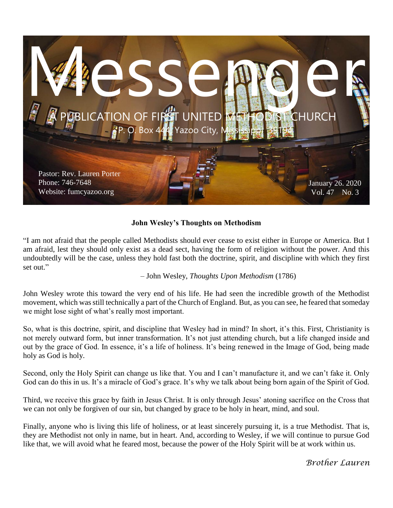

#### **John Wesley's Thoughts on Methodism**

"I am not afraid that the people called Methodists should ever cease to exist either in Europe or America. But I am afraid, lest they should only exist as a dead sect, having the form of religion without the power. And this undoubtedly will be the case, unless they hold fast both the doctrine, spirit, and discipline with which they first set out."

– John Wesley, *Thoughts Upon Methodism* (1786)

John Wesley wrote this toward the very end of his life. He had seen the incredible growth of the Methodist movement, which was still technically a part of the Church of England. But, as you can see, he feared that someday we might lose sight of what's really most important.

So, what is this doctrine, spirit, and discipline that Wesley had in mind? In short, it's this. First, Christianity is not merely outward form, but inner transformation. It's not just attending church, but a life changed inside and out by the grace of God. In essence, it's a life of holiness. It's being renewed in the Image of God, being made holy as God is holy.

Second, only the Holy Spirit can change us like that. You and I can't manufacture it, and we can't fake it. Only God can do this in us. It's a miracle of God's grace. It's why we talk about being born again of the Spirit of God.

Third, we receive this grace by faith in Jesus Christ. It is only through Jesus' atoning sacrifice on the Cross that we can not only be forgiven of our sin, but changed by grace to be holy in heart, mind, and soul.

Finally, anyone who is living this life of holiness, or at least sincerely pursuing it, is a true Methodist. That is, they are Methodist not only in name, but in heart. And, according to Wesley, if we will continue to pursue God like that, we will avoid what he feared most, because the power of the Holy Spirit will be at work within us.

*Brother Lauren*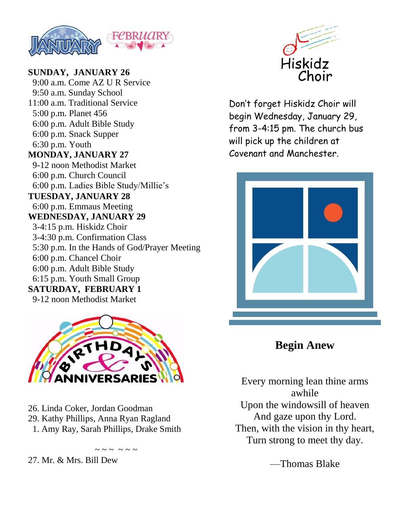

**SUNDAY, JANUARY 26** 9:00 a.m. Come AZ U R Service 9:50 a.m. Sunday School 11:00 a.m. Traditional Service 5:00 p.m. Planet 456 6:00 p.m. Adult Bible Study 6:00 p.m. Snack Supper 6:30 p.m. Youth **MONDAY, JANUARY 27** 9-12 noon Methodist Market 6:00 p.m. Church Council 6:00 p.m. Ladies Bible Study/Millie's **TUESDAY, JANUARY 28** 6:00 p.m. Emmaus Meeting **WEDNESDAY, JANUARY 29** 3-4:15 p.m. Hiskidz Choir 3-4:30 p.m. Confirmation Class 5:30 p.m. In the Hands of God/Prayer Meeting 6:00 p.m. Chancel Choir 6:00 p.m. Adult Bible Study 6:15 p.m. Youth Small Group **SATURDAY, FEBRUARY 1** 9-12 noon Methodist Market



26. Linda Coker, Jordan Goodman 29. Kathy Phillips, Anna Ryan Ragland 1. Amy Ray, Sarah Phillips, Drake Smith

 $\sim$   $\sim$   $\sim$   $\sim$   $\sim$   $\sim$ 

27. Mr. & Mrs. Bill Dew



Don't forget Hiskidz Choir will begin Wednesday, January 29, from 3-4:15 pm. The church bus will pick up the children at Covenant and Manchester.



**Begin Anew**

Every morning lean thine arms awhile Upon the windowsill of heaven And gaze upon thy Lord. Then, with the vision in thy heart, Turn strong to meet thy day.

—Thomas Blake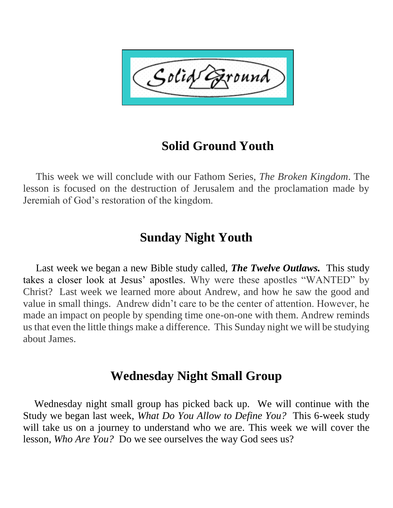Solid ound'

# **Solid Ground Youth**

 This week we will conclude with our Fathom Series, *The Broken Kingdom*. The lesson is focused on the destruction of Jerusalem and the proclamation made by Jeremiah of God's restoration of the kingdom.

# **Sunday Night Youth**

 Last week we began a new Bible study called, *The Twelve Outlaws.* This study takes a closer look at Jesus' apostles. Why were these apostles "WANTED" by Christ? Last week we learned more about Andrew, and how he saw the good and value in small things. Andrew didn't care to be the center of attention. However, he made an impact on people by spending time one-on-one with them. Andrew reminds us that even the little things make a difference. This Sunday night we will be studying about James.

# **Wednesday Night Small Group**

 Wednesday night small group has picked back up. We will continue with the Study we began last week, *What Do You Allow to Define You?* This 6-week study will take us on a journey to understand who we are. This week we will cover the lesson, *Who Are You?* Do we see ourselves the way God sees us?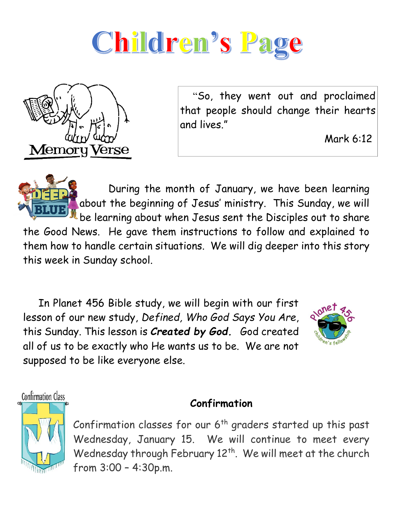



 "So, they went out and proclaimed that people should change their hearts and lives."

Mark 6:12

 During the month of January, we have been learning about the beginning of Jesus' ministry. This Sunday, we will be learning about when Jesus sent the Disciples out to share the Good News. He gave them instructions to follow and explained to them how to handle certain situations. We will dig deeper into this story this week in Sunday school.

 In Planet 456 Bible study, we will begin with our first lesson of our new study, *Defined, Who God Says You Are*, this Sunday. This lesson is *Created by God.* God created all of us to be exactly who He wants us to be. We are not supposed to be like everyone else.



**Confirmation Class** 

#### **Confirmation**



Confirmation classes for our  $6<sup>th</sup>$  graders started up this past Wednesday, January 15. We will continue to meet every Wednesday through February 12<sup>th</sup>. We will meet at the church from 3:00 – 4:30p.m.